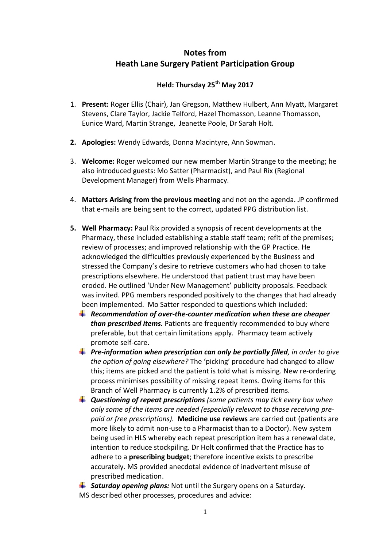# **Notes from Heath Lane Surgery Patient Participation Group**

## **Held: Thursday 25th May 2017**

- 1. **Present:** Roger Ellis (Chair), Jan Gregson, Matthew Hulbert, Ann Myatt, Margaret Stevens, Clare Taylor, Jackie Telford, Hazel Thomasson, Leanne Thomasson, Eunice Ward, Martin Strange, Jeanette Poole, Dr Sarah Holt.
- **2. Apologies:** Wendy Edwards, Donna Macintyre, Ann Sowman.
- 3. **Welcome:** Roger welcomed our new member Martin Strange to the meeting; he also introduced guests: Mo Satter (Pharmacist), and Paul Rix (Regional Development Manager) from Wells Pharmacy.
- 4. **Matters Arising from the previous meeting** and not on the agenda. JP confirmed that e-mails are being sent to the correct, updated PPG distribution list.
- **5. Well Pharmacy:** Paul Rix provided a synopsis of recent developments at the Pharmacy, these included establishing a stable staff team; refit of the premises; review of processes; and improved relationship with the GP Practice. He acknowledged the difficulties previously experienced by the Business and stressed the Company's desire to retrieve customers who had chosen to take prescriptions elsewhere. He understood that patient trust may have been eroded. He outlined 'Under New Management' publicity proposals. Feedback was invited. PPG members responded positively to the changes that had already been implemented. Mo Satter responded to questions which included:
	- *Recommendation of over-the-counter medication when these are cheaper than prescribed items.* Patients are frequently recommended to buy where preferable, but that certain limitations apply. Pharmacy team actively promote self-care.
	- *Pre-information when prescription can only be partially filled, in order to give the option of going elsewhere?* The 'picking' procedure had changed to allow this; items are picked and the patient is told what is missing. New re-ordering process minimises possibility of missing repeat items. Owing items for this Branch of Well Pharmacy is currently 1.2% of prescribed items.
	- *Questioning of repeat prescriptions (some patients may tick every box when only some of the items are needed (especially relevant to those receiving prepaid or free prescriptions).* **Medicine use reviews** are carried out (patients are more likely to admit non-use to a Pharmacist than to a Doctor). New system being used in HLS whereby each repeat prescription item has a renewal date, intention to reduce stockpiling. Dr Holt confirmed that the Practice has to adhere to a **prescribing budget**; therefore incentive exists to prescribe accurately. MS provided anecdotal evidence of inadvertent misuse of prescribed medication.

**Exaturday opening plans:** Not until the Surgery opens on a Saturday. MS described other processes, procedures and advice: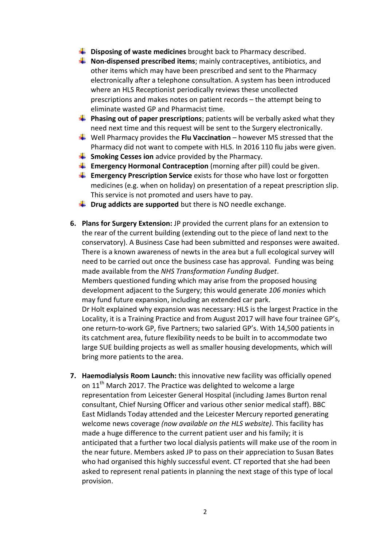- $\downarrow$  Disposing of waste medicines brought back to Pharmacy described.
- $\frac{1}{\sqrt{1}}$  **Non-dispensed prescribed items**; mainly contraceptives, antibiotics, and other items which may have been prescribed and sent to the Pharmacy electronically after a telephone consultation. A system has been introduced where an HLS Receptionist periodically reviews these uncollected prescriptions and makes notes on patient records – the attempt being to eliminate wasted GP and Pharmacist time.
- **Phasing out of paper prescriptions**; patients will be verbally asked what they need next time and this request will be sent to the Surgery electronically.
- Well Pharmacy provides the **Flu Vaccination** however MS stressed that the Pharmacy did not want to compete with HLS. In 2016 110 flu jabs were given.
- **Smoking Cesses ion** advice provided by the Pharmacy.
- **Emergency Hormonal Contraception** (morning after pill) could be given.
- **Emergency Prescription Service** exists for those who have lost or forgotten medicines (e.g. when on holiday) on presentation of a repeat prescription slip. This service is not promoted and users have to pay.
- $\downarrow$  Drug addicts are supported but there is NO needle exchange.
- **6. Plans for Surgery Extension:** JP provided the current plans for an extension to the rear of the current building (extending out to the piece of land next to the conservatory). A Business Case had been submitted and responses were awaited. There is a known awareness of newts in the area but a full ecological survey will need to be carried out once the business case has approval. Funding was being made available from the *NHS Transformation Funding Budget*. Members questioned funding which may arise from the proposed housing development adjacent to the Surgery; this would generate *106 monies* which may fund future expansion, including an extended car park. Dr Holt explained why expansion was necessary: HLS is the largest Practice in the Locality, it is a Training Practice and from August 2017 will have four trainee GP's, one return-to-work GP, five Partners; two salaried GP's. With 14,500 patients in its catchment area, future flexibility needs to be built in to accommodate two large SUE building projects as well as smaller housing developments, which will bring more patients to the area.
- **7. Haemodialysis Room Launch:** this innovative new facility was officially opened on 11<sup>th</sup> March 2017. The Practice was delighted to welcome a large representation from Leicester General Hospital (including James Burton renal consultant, Chief Nursing Officer and various other senior medical staff). BBC East Midlands Today attended and the Leicester Mercury reported generating welcome news coverage *(now available on the HLS website).* This facility has made a huge difference to the current patient user and his family; it is anticipated that a further two local dialysis patients will make use of the room in the near future. Members asked JP to pass on their appreciation to Susan Bates who had organised this highly successful event. CT reported that she had been asked to represent renal patients in planning the next stage of this type of local provision.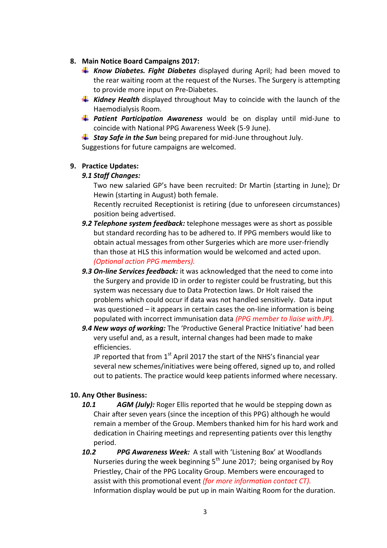#### **8. Main Notice Board Campaigns 2017:**

- *Know Diabetes. Fight Diabetes* displayed during April; had been moved to the rear waiting room at the request of the Nurses. The Surgery is attempting to provide more input on Pre-Diabetes.
- *Kidney Health* displayed throughout May to coincide with the launch of the Haemodialysis Room.
- *Patient Participation Awareness* would be on display until mid-June to coincide with National PPG Awareness Week (5-9 June).

**Stay Safe in the Sun** being prepared for mid-June throughout July.

Suggestions for future campaigns are welcomed.

## **9. Practice Updates:**

#### *9.1 Staff Changes:*

Two new salaried GP's have been recruited: Dr Martin (starting in June); Dr Hewin (starting in August) both female.

Recently recruited Receptionist is retiring (due to unforeseen circumstances) position being advertised.

- *9.2 Telephone system feedback:* telephone messages were as short as possible but standard recording has to be adhered to. If PPG members would like to obtain actual messages from other Surgeries which are more user-friendly than those at HLS this information would be welcomed and acted upon. *(Optional action PPG members).*
- *9.3 On-line Services feedback:* it was acknowledged that the need to come into the Surgery and provide ID in order to register could be frustrating, but this system was necessary due to Data Protection laws. Dr Holt raised the problems which could occur if data was not handled sensitively. Data input was questioned – it appears in certain cases the on-line information is being populated with incorrect immunisation data *(PPG member to liaise with JP).*
- *9.4 New ways of working:* The 'Productive General Practice Initiative' had been very useful and, as a result, internal changes had been made to make efficiencies.

JP reported that from  $1<sup>st</sup>$  April 2017 the start of the NHS's financial year several new schemes/initiatives were being offered, signed up to, and rolled out to patients. The practice would keep patients informed where necessary.

## **10. Any Other Business:**

- *10.1 AGM (July):* Roger Ellis reported that he would be stepping down as Chair after seven years (since the inception of this PPG) although he would remain a member of the Group. Members thanked him for his hard work and dedication in Chairing meetings and representing patients over this lengthy period.
- *10.2 PPG Awareness Week:* A stall with 'Listening Box' at Woodlands Nurseries during the week beginning  $5<sup>th</sup>$  June 2017; being organised by Roy Priestley, Chair of the PPG Locality Group. Members were encouraged to assist with this promotional event *(for more information contact CT).* Information display would be put up in main Waiting Room for the duration.